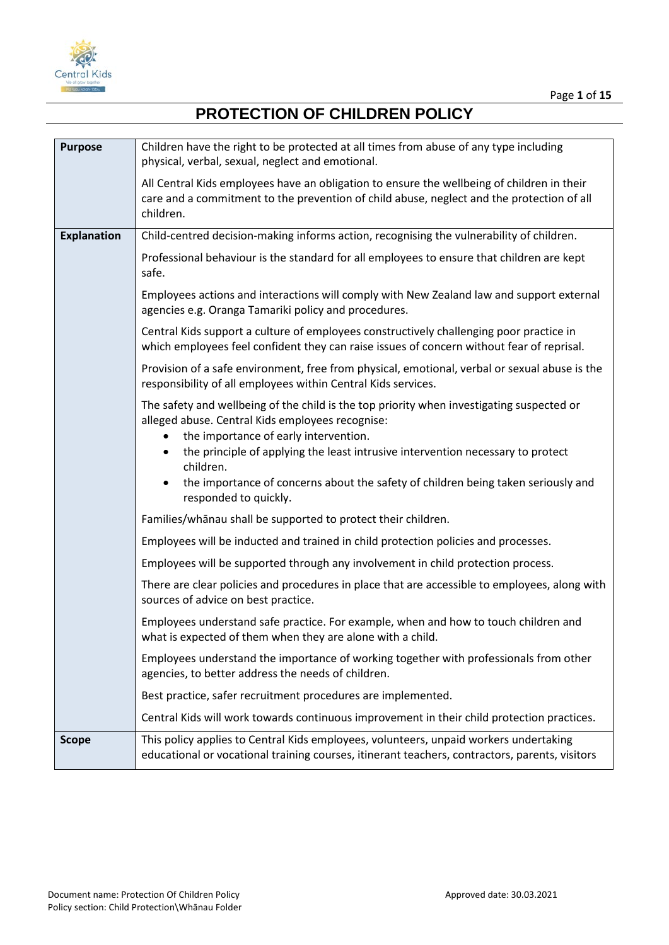

| <b>Purpose</b>     | Children have the right to be protected at all times from abuse of any type including<br>physical, verbal, sexual, neglect and emotional.                                                                                                                                 |  |  |
|--------------------|---------------------------------------------------------------------------------------------------------------------------------------------------------------------------------------------------------------------------------------------------------------------------|--|--|
|                    | All Central Kids employees have an obligation to ensure the wellbeing of children in their<br>care and a commitment to the prevention of child abuse, neglect and the protection of all<br>children.                                                                      |  |  |
| <b>Explanation</b> | Child-centred decision-making informs action, recognising the vulnerability of children.                                                                                                                                                                                  |  |  |
|                    | Professional behaviour is the standard for all employees to ensure that children are kept<br>safe.                                                                                                                                                                        |  |  |
|                    | Employees actions and interactions will comply with New Zealand law and support external<br>agencies e.g. Oranga Tamariki policy and procedures.                                                                                                                          |  |  |
|                    | Central Kids support a culture of employees constructively challenging poor practice in<br>which employees feel confident they can raise issues of concern without fear of reprisal.                                                                                      |  |  |
|                    | Provision of a safe environment, free from physical, emotional, verbal or sexual abuse is the<br>responsibility of all employees within Central Kids services.                                                                                                            |  |  |
|                    | The safety and wellbeing of the child is the top priority when investigating suspected or<br>alleged abuse. Central Kids employees recognise:<br>the importance of early intervention.<br>the principle of applying the least intrusive intervention necessary to protect |  |  |
|                    | children.<br>the importance of concerns about the safety of children being taken seriously and<br>responded to quickly.                                                                                                                                                   |  |  |
|                    | Families/whanau shall be supported to protect their children.                                                                                                                                                                                                             |  |  |
|                    | Employees will be inducted and trained in child protection policies and processes.                                                                                                                                                                                        |  |  |
|                    | Employees will be supported through any involvement in child protection process.                                                                                                                                                                                          |  |  |
|                    | There are clear policies and procedures in place that are accessible to employees, along with<br>sources of advice on best practice.                                                                                                                                      |  |  |
|                    | Employees understand safe practice. For example, when and how to touch children and<br>what is expected of them when they are alone with a child.                                                                                                                         |  |  |
|                    | Employees understand the importance of working together with professionals from other<br>agencies, to better address the needs of children.                                                                                                                               |  |  |
|                    | Best practice, safer recruitment procedures are implemented.                                                                                                                                                                                                              |  |  |
|                    | Central Kids will work towards continuous improvement in their child protection practices.                                                                                                                                                                                |  |  |
| <b>Scope</b>       | This policy applies to Central Kids employees, volunteers, unpaid workers undertaking<br>educational or vocational training courses, itinerant teachers, contractors, parents, visitors                                                                                   |  |  |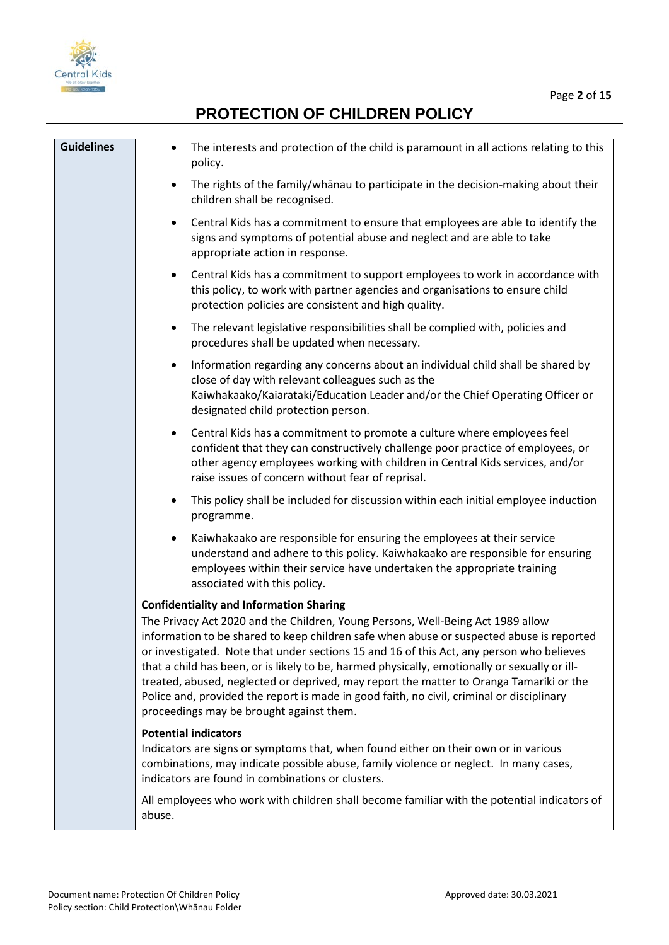



| <b>Guidelines</b> | The interests and protection of the child is paramount in all actions relating to this<br>$\bullet$<br>policy.                                                                                                                                                                                                                                                                                                                                                                                                                                                                                                                                                 |
|-------------------|----------------------------------------------------------------------------------------------------------------------------------------------------------------------------------------------------------------------------------------------------------------------------------------------------------------------------------------------------------------------------------------------------------------------------------------------------------------------------------------------------------------------------------------------------------------------------------------------------------------------------------------------------------------|
|                   | The rights of the family/whanau to participate in the decision-making about their<br>$\bullet$<br>children shall be recognised.                                                                                                                                                                                                                                                                                                                                                                                                                                                                                                                                |
|                   | Central Kids has a commitment to ensure that employees are able to identify the<br>$\bullet$<br>signs and symptoms of potential abuse and neglect and are able to take<br>appropriate action in response.                                                                                                                                                                                                                                                                                                                                                                                                                                                      |
|                   | Central Kids has a commitment to support employees to work in accordance with<br>$\bullet$<br>this policy, to work with partner agencies and organisations to ensure child<br>protection policies are consistent and high quality.                                                                                                                                                                                                                                                                                                                                                                                                                             |
|                   | The relevant legislative responsibilities shall be complied with, policies and<br>$\bullet$<br>procedures shall be updated when necessary.                                                                                                                                                                                                                                                                                                                                                                                                                                                                                                                     |
|                   | Information regarding any concerns about an individual child shall be shared by<br>$\bullet$<br>close of day with relevant colleagues such as the<br>Kaiwhakaako/Kaiarataki/Education Leader and/or the Chief Operating Officer or<br>designated child protection person.                                                                                                                                                                                                                                                                                                                                                                                      |
|                   | Central Kids has a commitment to promote a culture where employees feel<br>٠<br>confident that they can constructively challenge poor practice of employees, or<br>other agency employees working with children in Central Kids services, and/or<br>raise issues of concern without fear of reprisal.                                                                                                                                                                                                                                                                                                                                                          |
|                   | This policy shall be included for discussion within each initial employee induction<br>٠<br>programme.                                                                                                                                                                                                                                                                                                                                                                                                                                                                                                                                                         |
|                   | Kaiwhakaako are responsible for ensuring the employees at their service<br>$\bullet$<br>understand and adhere to this policy. Kaiwhakaako are responsible for ensuring<br>employees within their service have undertaken the appropriate training<br>associated with this policy.                                                                                                                                                                                                                                                                                                                                                                              |
|                   | <b>Confidentiality and Information Sharing</b><br>The Privacy Act 2020 and the Children, Young Persons, Well-Being Act 1989 allow<br>information to be shared to keep children safe when abuse or suspected abuse is reported<br>or investigated. Note that under sections 15 and 16 of this Act, any person who believes<br>that a child has been, or is likely to be, harmed physically, emotionally or sexually or ill-<br>treated, abused, neglected or deprived, may report the matter to Oranga Tamariki or the<br>Police and, provided the report is made in good faith, no civil, criminal or disciplinary<br>proceedings may be brought against them. |
|                   | <b>Potential indicators</b><br>Indicators are signs or symptoms that, when found either on their own or in various<br>combinations, may indicate possible abuse, family violence or neglect. In many cases,<br>indicators are found in combinations or clusters.                                                                                                                                                                                                                                                                                                                                                                                               |
|                   | All employees who work with children shall become familiar with the potential indicators of<br>abuse.                                                                                                                                                                                                                                                                                                                                                                                                                                                                                                                                                          |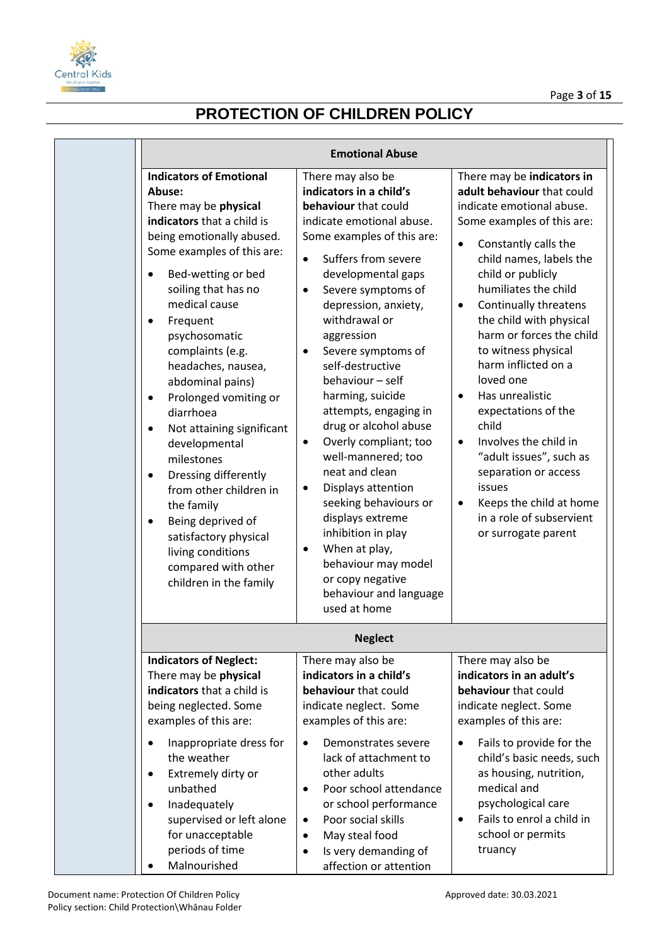

| <b>Emotional Abuse</b>                                                                                                                                                                                                                                                                                                                                                                                                                                                                                                                                                                                                                     |                                                                                                                                                                                                                                                                                                                                                                                                                                                                                                                                                                                                                                                                                                                        |                                                                                                                                                                                                                                                                                                                                                                                                                                                                                                                                                                                                                                        |
|--------------------------------------------------------------------------------------------------------------------------------------------------------------------------------------------------------------------------------------------------------------------------------------------------------------------------------------------------------------------------------------------------------------------------------------------------------------------------------------------------------------------------------------------------------------------------------------------------------------------------------------------|------------------------------------------------------------------------------------------------------------------------------------------------------------------------------------------------------------------------------------------------------------------------------------------------------------------------------------------------------------------------------------------------------------------------------------------------------------------------------------------------------------------------------------------------------------------------------------------------------------------------------------------------------------------------------------------------------------------------|----------------------------------------------------------------------------------------------------------------------------------------------------------------------------------------------------------------------------------------------------------------------------------------------------------------------------------------------------------------------------------------------------------------------------------------------------------------------------------------------------------------------------------------------------------------------------------------------------------------------------------------|
| <b>Indicators of Emotional</b><br>Abuse:<br>There may be physical<br>indicators that a child is<br>being emotionally abused.<br>Some examples of this are:<br>Bed-wetting or bed<br>soiling that has no<br>medical cause<br>Frequent<br>$\bullet$<br>psychosomatic<br>complaints (e.g.<br>headaches, nausea,<br>abdominal pains)<br>Prolonged vomiting or<br>٠<br>diarrhoea<br>Not attaining significant<br>٠<br>developmental<br>milestones<br>Dressing differently<br>٠<br>from other children in<br>the family<br>Being deprived of<br>٠<br>satisfactory physical<br>living conditions<br>compared with other<br>children in the family | There may also be<br>indicators in a child's<br>behaviour that could<br>indicate emotional abuse.<br>Some examples of this are:<br>Suffers from severe<br>$\bullet$<br>developmental gaps<br>Severe symptoms of<br>$\bullet$<br>depression, anxiety,<br>withdrawal or<br>aggression<br>Severe symptoms of<br>$\bullet$<br>self-destructive<br>behaviour - self<br>harming, suicide<br>attempts, engaging in<br>drug or alcohol abuse<br>Overly compliant; too<br>$\bullet$<br>well-mannered; too<br>neat and clean<br>Displays attention<br>٠<br>seeking behaviours or<br>displays extreme<br>inhibition in play<br>When at play,<br>behaviour may model<br>or copy negative<br>behaviour and language<br>used at home | There may be indicators in<br>adult behaviour that could<br>indicate emotional abuse.<br>Some examples of this are:<br>Constantly calls the<br>$\bullet$<br>child names, labels the<br>child or publicly<br>humiliates the child<br>Continually threatens<br>٠<br>the child with physical<br>harm or forces the child<br>to witness physical<br>harm inflicted on a<br>loved one<br>Has unrealistic<br>$\bullet$<br>expectations of the<br>child<br>Involves the child in<br>$\bullet$<br>"adult issues", such as<br>separation or access<br>issues<br>Keeps the child at home<br>٠<br>in a role of subservient<br>or surrogate parent |
|                                                                                                                                                                                                                                                                                                                                                                                                                                                                                                                                                                                                                                            | <b>Neglect</b>                                                                                                                                                                                                                                                                                                                                                                                                                                                                                                                                                                                                                                                                                                         |                                                                                                                                                                                                                                                                                                                                                                                                                                                                                                                                                                                                                                        |
| <b>Indicators of Neglect:</b><br>There may be physical<br>indicators that a child is<br>being neglected. Some<br>examples of this are:<br>Inappropriate dress for<br>the weather<br>Extremely dirty or<br>٠<br>unbathed<br>Inadequately<br>٠<br>supervised or left alone<br>for unacceptable<br>periods of time<br>Malnourished                                                                                                                                                                                                                                                                                                            | There may also be<br>indicators in a child's<br>behaviour that could<br>indicate neglect. Some<br>examples of this are:<br>Demonstrates severe<br>$\bullet$<br>lack of attachment to<br>other adults<br>Poor school attendance<br>$\bullet$<br>or school performance<br>Poor social skills<br>$\bullet$<br>May steal food<br>$\bullet$<br>Is very demanding of<br>affection or attention                                                                                                                                                                                                                                                                                                                               | There may also be<br>indicators in an adult's<br>behaviour that could<br>indicate neglect. Some<br>examples of this are:<br>Fails to provide for the<br>$\bullet$<br>child's basic needs, such<br>as housing, nutrition,<br>medical and<br>psychological care<br>Fails to enrol a child in<br>$\bullet$<br>school or permits<br>truancy                                                                                                                                                                                                                                                                                                |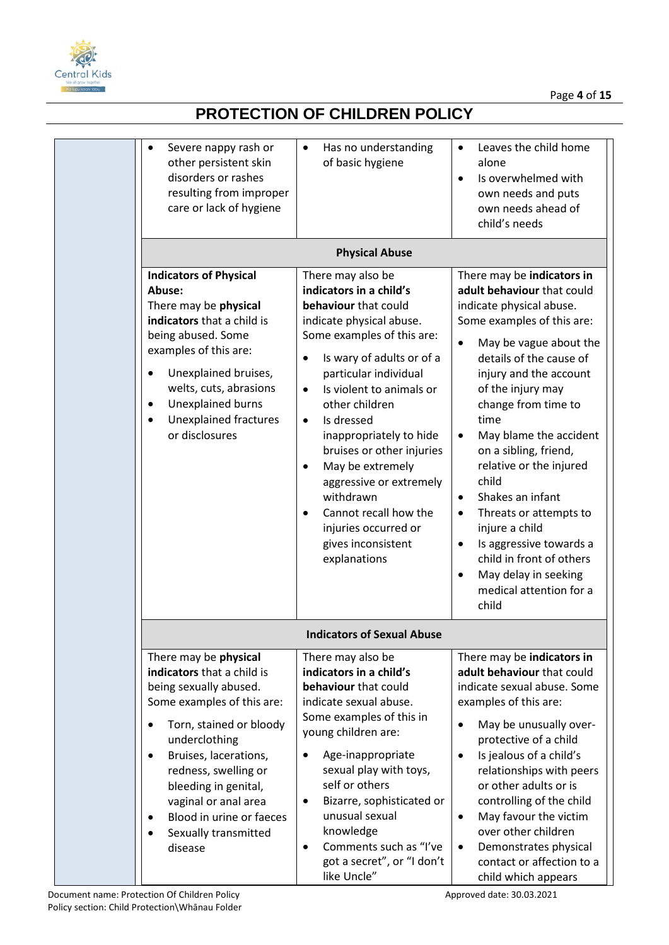

| Severe nappy rash or<br>other persistent skin<br>disorders or rashes<br>resulting from improper<br>care or lack of hygiene                                                                                                                                                                                                                                     | Has no understanding<br>$\bullet$<br>of basic hygiene                                                                                                                                                                                                                                                                                                                                                                                                                                                                        | Leaves the child home<br>$\bullet$<br>alone<br>Is overwhelmed with<br>$\bullet$<br>own needs and puts<br>own needs ahead of<br>child's needs                                                                                                                                                                                                                                                                                                                                                                                                                                          |
|----------------------------------------------------------------------------------------------------------------------------------------------------------------------------------------------------------------------------------------------------------------------------------------------------------------------------------------------------------------|------------------------------------------------------------------------------------------------------------------------------------------------------------------------------------------------------------------------------------------------------------------------------------------------------------------------------------------------------------------------------------------------------------------------------------------------------------------------------------------------------------------------------|---------------------------------------------------------------------------------------------------------------------------------------------------------------------------------------------------------------------------------------------------------------------------------------------------------------------------------------------------------------------------------------------------------------------------------------------------------------------------------------------------------------------------------------------------------------------------------------|
|                                                                                                                                                                                                                                                                                                                                                                | <b>Physical Abuse</b>                                                                                                                                                                                                                                                                                                                                                                                                                                                                                                        |                                                                                                                                                                                                                                                                                                                                                                                                                                                                                                                                                                                       |
| <b>Indicators of Physical</b><br>Abuse:<br>There may be physical<br>indicators that a child is<br>being abused. Some<br>examples of this are:<br>Unexplained bruises,<br>welts, cuts, abrasions<br>Unexplained burns<br>$\bullet$<br><b>Unexplained fractures</b><br>or disclosures                                                                            | There may also be<br>indicators in a child's<br>behaviour that could<br>indicate physical abuse.<br>Some examples of this are:<br>Is wary of adults or of a<br>$\bullet$<br>particular individual<br>Is violent to animals or<br>$\bullet$<br>other children<br>Is dressed<br>$\bullet$<br>inappropriately to hide<br>bruises or other injuries<br>May be extremely<br>$\bullet$<br>aggressive or extremely<br>withdrawn<br>Cannot recall how the<br>$\bullet$<br>injuries occurred or<br>gives inconsistent<br>explanations | There may be indicators in<br>adult behaviour that could<br>indicate physical abuse.<br>Some examples of this are:<br>May be vague about the<br>$\bullet$<br>details of the cause of<br>injury and the account<br>of the injury may<br>change from time to<br>time<br>May blame the accident<br>٠<br>on a sibling, friend,<br>relative or the injured<br>child<br>Shakes an infant<br>$\bullet$<br>Threats or attempts to<br>٠<br>injure a child<br>Is aggressive towards a<br>$\bullet$<br>child in front of others<br>May delay in seeking<br>٠<br>medical attention for a<br>child |
|                                                                                                                                                                                                                                                                                                                                                                | <b>Indicators of Sexual Abuse</b>                                                                                                                                                                                                                                                                                                                                                                                                                                                                                            |                                                                                                                                                                                                                                                                                                                                                                                                                                                                                                                                                                                       |
| There may be physical<br>indicators that a child is<br>being sexually abused.<br>Some examples of this are:<br>Torn, stained or bloody<br>$\bullet$<br>underclothing<br>Bruises, lacerations,<br>$\bullet$<br>redness, swelling or<br>bleeding in genital,<br>vaginal or anal area<br>Blood in urine or faeces<br>$\bullet$<br>Sexually transmitted<br>disease | There may also be<br>indicators in a child's<br>behaviour that could<br>indicate sexual abuse.<br>Some examples of this in<br>young children are:<br>Age-inappropriate<br>$\bullet$<br>sexual play with toys,<br>self or others<br>Bizarre, sophisticated or<br>$\bullet$<br>unusual sexual<br>knowledge<br>Comments such as "I've<br>$\bullet$<br>got a secret", or "I don't<br>like Uncle"                                                                                                                                 | There may be indicators in<br>adult behaviour that could<br>indicate sexual abuse. Some<br>examples of this are:<br>May be unusually over-<br>$\bullet$<br>protective of a child<br>Is jealous of a child's<br>$\bullet$<br>relationships with peers<br>or other adults or is<br>controlling of the child<br>May favour the victim<br>$\bullet$<br>over other children<br>Demonstrates physical<br>$\bullet$<br>contact or affection to a<br>child which appears                                                                                                                      |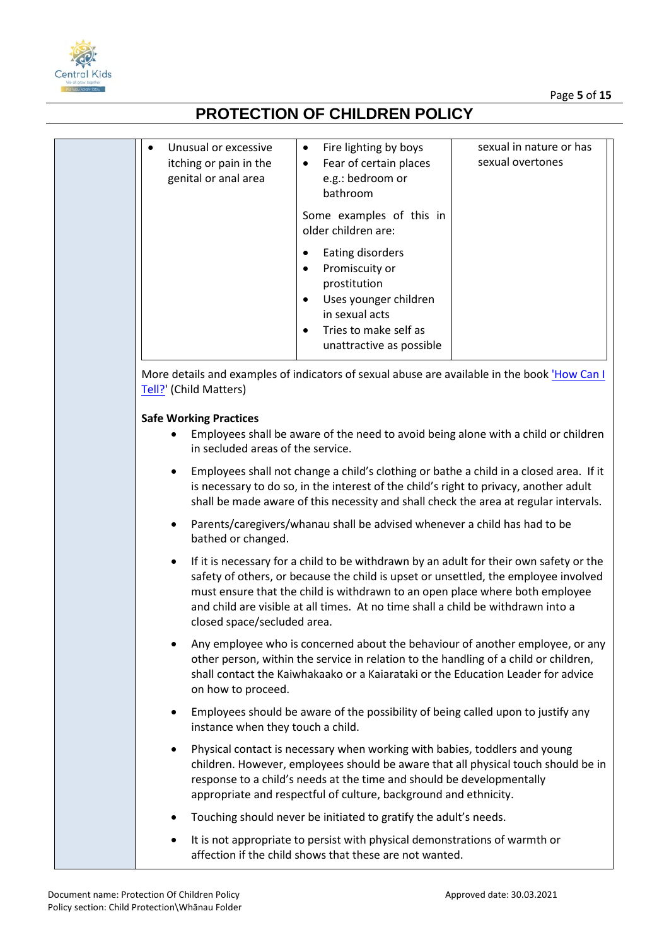



| Unusual or excessive<br>$\bullet$<br>itching or pain in the<br>genital or anal area | Fire lighting by boys<br>$\bullet$<br>Fear of certain places<br>$\bullet$<br>e.g.: bedroom or                                                                                                                                                                                                                                                     | sexual in nature or has<br>sexual overtones |
|-------------------------------------------------------------------------------------|---------------------------------------------------------------------------------------------------------------------------------------------------------------------------------------------------------------------------------------------------------------------------------------------------------------------------------------------------|---------------------------------------------|
|                                                                                     | bathroom                                                                                                                                                                                                                                                                                                                                          |                                             |
|                                                                                     | Some examples of this in<br>older children are:                                                                                                                                                                                                                                                                                                   |                                             |
|                                                                                     | Eating disorders<br>$\bullet$<br>Promiscuity or<br>$\bullet$<br>prostitution<br>Uses younger children<br>$\bullet$<br>in sexual acts<br>Tries to make self as<br>unattractive as possible                                                                                                                                                         |                                             |
| Tell?' (Child Matters)                                                              | More details and examples of indicators of sexual abuse are available in the book How Can I                                                                                                                                                                                                                                                       |                                             |
| <b>Safe Working Practices</b><br>٠<br>in secluded areas of the service.             | Employees shall be aware of the need to avoid being alone with a child or children                                                                                                                                                                                                                                                                |                                             |
| $\bullet$                                                                           | Employees shall not change a child's clothing or bathe a child in a closed area. If it<br>is necessary to do so, in the interest of the child's right to privacy, another adult<br>shall be made aware of this necessity and shall check the area at regular intervals.                                                                           |                                             |
| ٠<br>bathed or changed.                                                             | Parents/caregivers/whanau shall be advised whenever a child has had to be                                                                                                                                                                                                                                                                         |                                             |
| $\bullet$<br>closed space/secluded area.                                            | If it is necessary for a child to be withdrawn by an adult for their own safety or the<br>safety of others, or because the child is upset or unsettled, the employee involved<br>must ensure that the child is withdrawn to an open place where both employee<br>and child are visible at all times. At no time shall a child be withdrawn into a |                                             |
| on how to proceed.                                                                  | Any employee who is concerned about the behaviour of another employee, or any<br>other person, within the service in relation to the handling of a child or children,<br>shall contact the Kaiwhakaako or a Kaiarataki or the Education Leader for advice                                                                                         |                                             |
| $\bullet$<br>instance when they touch a child.                                      | Employees should be aware of the possibility of being called upon to justify any                                                                                                                                                                                                                                                                  |                                             |
| $\bullet$                                                                           | Physical contact is necessary when working with babies, toddlers and young<br>children. However, employees should be aware that all physical touch should be in<br>response to a child's needs at the time and should be developmentally<br>appropriate and respectful of culture, background and ethnicity.                                      |                                             |
| ٠                                                                                   | Touching should never be initiated to gratify the adult's needs.                                                                                                                                                                                                                                                                                  |                                             |
| ٠                                                                                   | It is not appropriate to persist with physical demonstrations of warmth or<br>affection if the child shows that these are not wanted.                                                                                                                                                                                                             |                                             |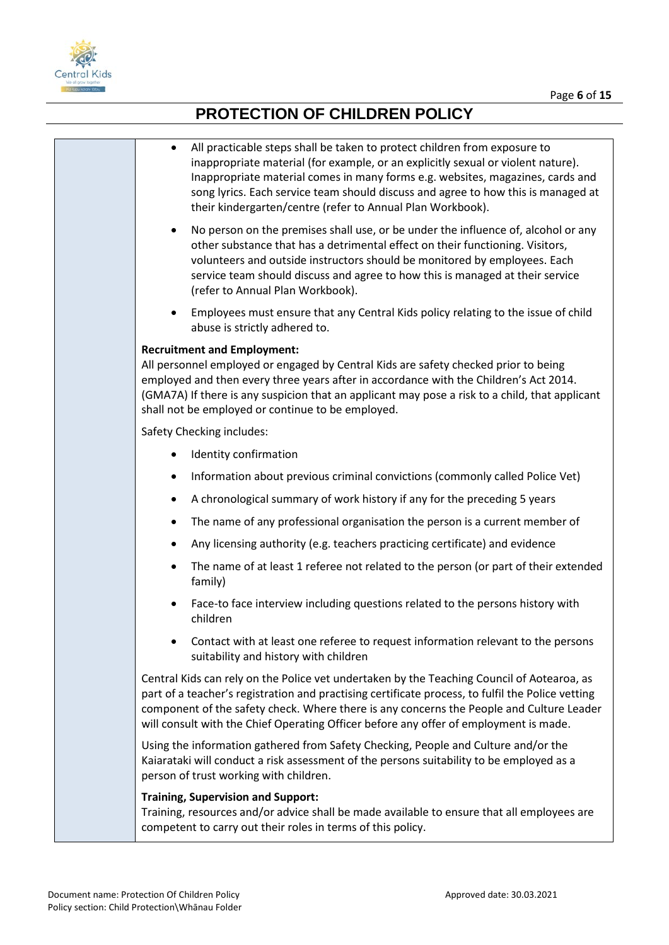

| All practicable steps shall be taken to protect children from exposure to<br>inappropriate material (for example, or an explicitly sexual or violent nature).<br>Inappropriate material comes in many forms e.g. websites, magazines, cards and<br>song lyrics. Each service team should discuss and agree to how this is managed at<br>their kindergarten/centre (refer to Annual Plan Workbook). |
|----------------------------------------------------------------------------------------------------------------------------------------------------------------------------------------------------------------------------------------------------------------------------------------------------------------------------------------------------------------------------------------------------|
| No person on the premises shall use, or be under the influence of, alcohol or any<br>٠<br>other substance that has a detrimental effect on their functioning. Visitors,<br>volunteers and outside instructors should be monitored by employees. Each<br>service team should discuss and agree to how this is managed at their service<br>(refer to Annual Plan Workbook).                          |
| Employees must ensure that any Central Kids policy relating to the issue of child<br>٠<br>abuse is strictly adhered to.                                                                                                                                                                                                                                                                            |
| <b>Recruitment and Employment:</b><br>All personnel employed or engaged by Central Kids are safety checked prior to being<br>employed and then every three years after in accordance with the Children's Act 2014.<br>(GMA7A) If there is any suspicion that an applicant may pose a risk to a child, that applicant<br>shall not be employed or continue to be employed.                          |
| Safety Checking includes:                                                                                                                                                                                                                                                                                                                                                                          |
| Identity confirmation<br>$\bullet$                                                                                                                                                                                                                                                                                                                                                                 |
| Information about previous criminal convictions (commonly called Police Vet)<br>٠                                                                                                                                                                                                                                                                                                                  |
| A chronological summary of work history if any for the preceding 5 years<br>$\bullet$                                                                                                                                                                                                                                                                                                              |
| The name of any professional organisation the person is a current member of<br>٠                                                                                                                                                                                                                                                                                                                   |
| Any licensing authority (e.g. teachers practicing certificate) and evidence<br>$\bullet$                                                                                                                                                                                                                                                                                                           |
| The name of at least 1 referee not related to the person (or part of their extended<br>$\bullet$<br>family)                                                                                                                                                                                                                                                                                        |
| Face-to face interview including questions related to the persons history with<br>children                                                                                                                                                                                                                                                                                                         |
| Contact with at least one referee to request information relevant to the persons<br>suitability and history with children                                                                                                                                                                                                                                                                          |
| Central Kids can rely on the Police vet undertaken by the Teaching Council of Aotearoa, as<br>part of a teacher's registration and practising certificate process, to fulfil the Police vetting<br>component of the safety check. Where there is any concerns the People and Culture Leader<br>will consult with the Chief Operating Officer before any offer of employment is made.               |
| Using the information gathered from Safety Checking, People and Culture and/or the<br>Kaiarataki will conduct a risk assessment of the persons suitability to be employed as a<br>person of trust working with children.                                                                                                                                                                           |
| <b>Training, Supervision and Support:</b><br>Training, resources and/or advice shall be made available to ensure that all employees are<br>competent to carry out their roles in terms of this policy.                                                                                                                                                                                             |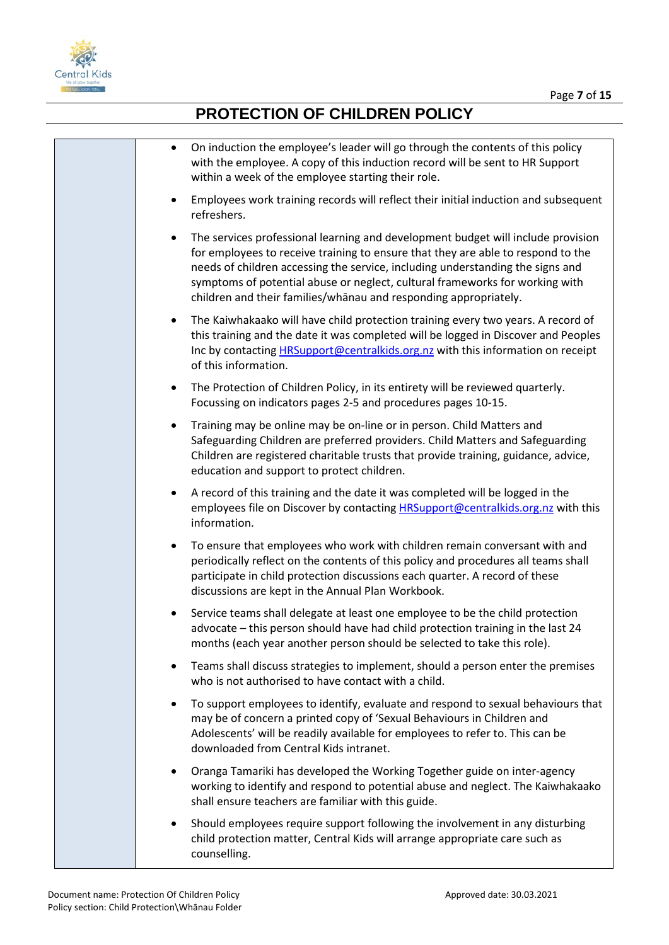

| On induction the employee's leader will go through the contents of this policy<br>$\bullet$<br>with the employee. A copy of this induction record will be sent to HR Support<br>within a week of the employee starting their role.                                                                                                                                                                                      |
|-------------------------------------------------------------------------------------------------------------------------------------------------------------------------------------------------------------------------------------------------------------------------------------------------------------------------------------------------------------------------------------------------------------------------|
| Employees work training records will reflect their initial induction and subsequent<br>$\bullet$<br>refreshers.                                                                                                                                                                                                                                                                                                         |
| The services professional learning and development budget will include provision<br>$\bullet$<br>for employees to receive training to ensure that they are able to respond to the<br>needs of children accessing the service, including understanding the signs and<br>symptoms of potential abuse or neglect, cultural frameworks for working with<br>children and their families/whanau and responding appropriately. |
| The Kaiwhakaako will have child protection training every two years. A record of<br>$\bullet$<br>this training and the date it was completed will be logged in Discover and Peoples<br>Inc by contacting <b>HRSupport@centralkids.org.nz</b> with this information on receipt<br>of this information.                                                                                                                   |
| The Protection of Children Policy, in its entirety will be reviewed quarterly.<br>$\bullet$<br>Focussing on indicators pages 2-5 and procedures pages 10-15.                                                                                                                                                                                                                                                            |
| Training may be online may be on-line or in person. Child Matters and<br>$\bullet$<br>Safeguarding Children are preferred providers. Child Matters and Safeguarding<br>Children are registered charitable trusts that provide training, guidance, advice,<br>education and support to protect children.                                                                                                                 |
| A record of this training and the date it was completed will be logged in the<br>$\bullet$<br>employees file on Discover by contacting HRSupport@centralkids.org.nz with this<br>information.                                                                                                                                                                                                                           |
| To ensure that employees who work with children remain conversant with and<br>$\bullet$<br>periodically reflect on the contents of this policy and procedures all teams shall<br>participate in child protection discussions each quarter. A record of these<br>discussions are kept in the Annual Plan Workbook.                                                                                                       |
| Service teams shall delegate at least one employee to be the child protection<br>advocate - this person should have had child protection training in the last 24<br>months (each year another person should be selected to take this role).                                                                                                                                                                             |
| Teams shall discuss strategies to implement, should a person enter the premises<br>$\bullet$<br>who is not authorised to have contact with a child.                                                                                                                                                                                                                                                                     |
| To support employees to identify, evaluate and respond to sexual behaviours that<br>$\bullet$<br>may be of concern a printed copy of 'Sexual Behaviours in Children and<br>Adolescents' will be readily available for employees to refer to. This can be<br>downloaded from Central Kids intranet.                                                                                                                      |
| Oranga Tamariki has developed the Working Together guide on inter-agency<br>٠<br>working to identify and respond to potential abuse and neglect. The Kaiwhakaako<br>shall ensure teachers are familiar with this guide.                                                                                                                                                                                                 |
| Should employees require support following the involvement in any disturbing<br>٠<br>child protection matter, Central Kids will arrange appropriate care such as<br>counselling.                                                                                                                                                                                                                                        |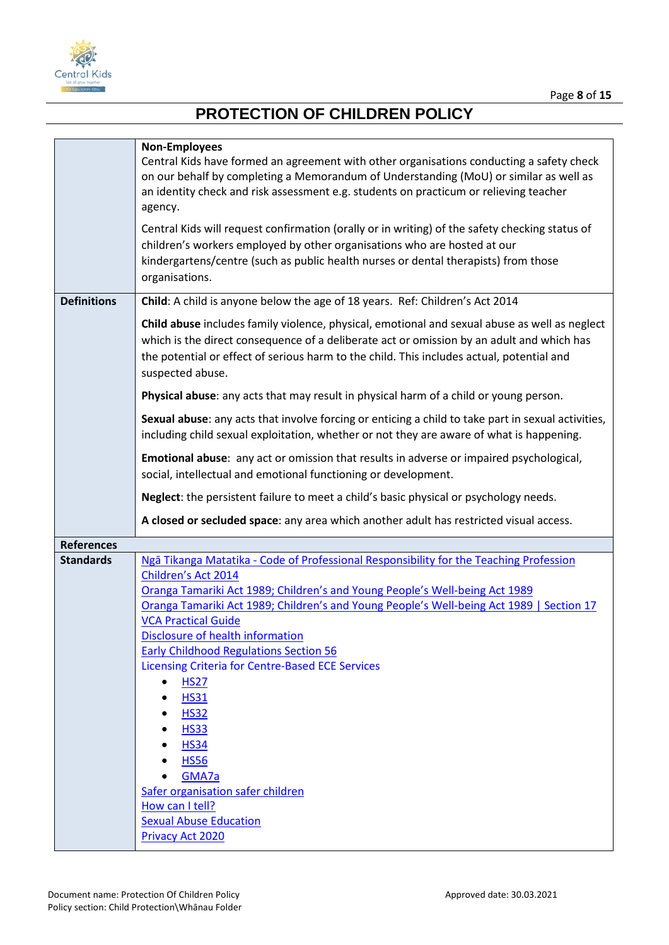

|                    | <b>Non-Employees</b><br>Central Kids have formed an agreement with other organisations conducting a safety check<br>on our behalf by completing a Memorandum of Understanding (MoU) or similar as well as<br>an identity check and risk assessment e.g. students on practicum or relieving teacher<br>agency. |  |  |  |  |
|--------------------|---------------------------------------------------------------------------------------------------------------------------------------------------------------------------------------------------------------------------------------------------------------------------------------------------------------|--|--|--|--|
|                    | Central Kids will request confirmation (orally or in writing) of the safety checking status of<br>children's workers employed by other organisations who are hosted at our<br>kindergartens/centre (such as public health nurses or dental therapists) from those<br>organisations.                           |  |  |  |  |
| <b>Definitions</b> | Child: A child is anyone below the age of 18 years. Ref: Children's Act 2014                                                                                                                                                                                                                                  |  |  |  |  |
|                    | Child abuse includes family violence, physical, emotional and sexual abuse as well as neglect<br>which is the direct consequence of a deliberate act or omission by an adult and which has<br>the potential or effect of serious harm to the child. This includes actual, potential and<br>suspected abuse.   |  |  |  |  |
|                    | Physical abuse: any acts that may result in physical harm of a child or young person.                                                                                                                                                                                                                         |  |  |  |  |
|                    | Sexual abuse: any acts that involve forcing or enticing a child to take part in sexual activities,<br>including child sexual exploitation, whether or not they are aware of what is happening.                                                                                                                |  |  |  |  |
|                    | Emotional abuse: any act or omission that results in adverse or impaired psychological,<br>social, intellectual and emotional functioning or development.                                                                                                                                                     |  |  |  |  |
|                    | Neglect: the persistent failure to meet a child's basic physical or psychology needs.                                                                                                                                                                                                                         |  |  |  |  |
|                    |                                                                                                                                                                                                                                                                                                               |  |  |  |  |
|                    | A closed or secluded space: any area which another adult has restricted visual access.                                                                                                                                                                                                                        |  |  |  |  |
| <b>References</b>  |                                                                                                                                                                                                                                                                                                               |  |  |  |  |
| <b>Standards</b>   | Ngā Tikanga Matatika - Code of Professional Responsibility for the Teaching Profession                                                                                                                                                                                                                        |  |  |  |  |
|                    | Children's Act 2014                                                                                                                                                                                                                                                                                           |  |  |  |  |
|                    | Oranga Tamariki Act 1989; Children's and Young People's Well-being Act 1989                                                                                                                                                                                                                                   |  |  |  |  |
|                    | Oranga Tamariki Act 1989; Children's and Young People's Well-being Act 1989   Section 17<br><b>VCA Practical Guide</b>                                                                                                                                                                                        |  |  |  |  |
|                    | Disclosure of health information                                                                                                                                                                                                                                                                              |  |  |  |  |
|                    | <b>Early Childhood Regulations Section 56</b>                                                                                                                                                                                                                                                                 |  |  |  |  |
|                    | <b>Licensing Criteria for Centre-Based ECE Services</b>                                                                                                                                                                                                                                                       |  |  |  |  |
|                    | <b>HS27</b>                                                                                                                                                                                                                                                                                                   |  |  |  |  |
|                    | <b>HS31</b><br><b>HS32</b>                                                                                                                                                                                                                                                                                    |  |  |  |  |
|                    | <b>HS33</b>                                                                                                                                                                                                                                                                                                   |  |  |  |  |
|                    | <b>HS34</b>                                                                                                                                                                                                                                                                                                   |  |  |  |  |
|                    | <b>HS56</b>                                                                                                                                                                                                                                                                                                   |  |  |  |  |
|                    | GMA7a                                                                                                                                                                                                                                                                                                         |  |  |  |  |
|                    | Safer organisation safer children<br>How can I tell?                                                                                                                                                                                                                                                          |  |  |  |  |
|                    | <b>Sexual Abuse Education</b>                                                                                                                                                                                                                                                                                 |  |  |  |  |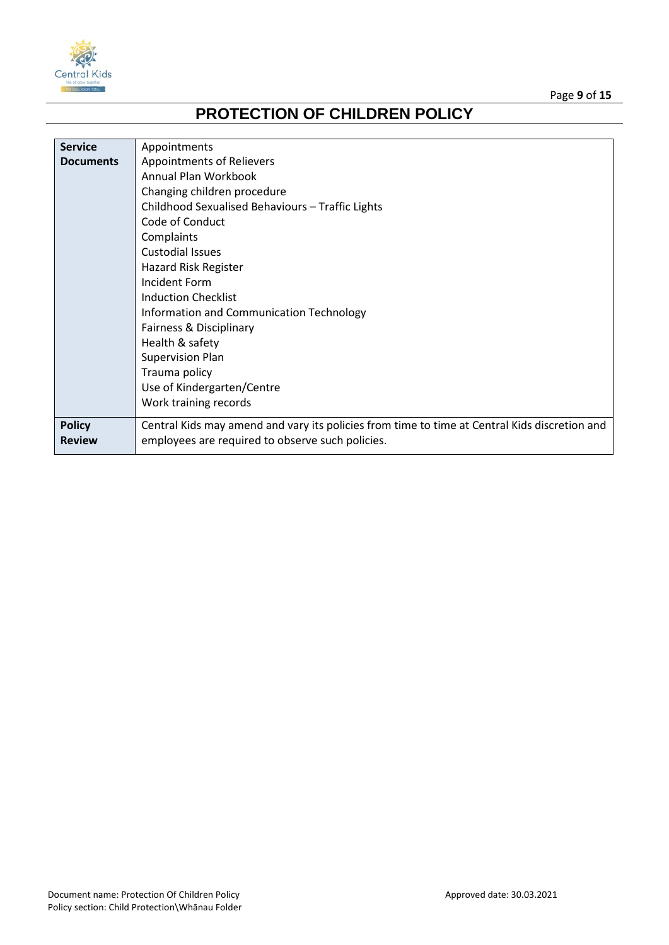



| <b>Service</b>   | Appointments                                                                                  |
|------------------|-----------------------------------------------------------------------------------------------|
| <b>Documents</b> | Appointments of Relievers                                                                     |
|                  | Annual Plan Workbook                                                                          |
|                  | Changing children procedure                                                                   |
|                  | Childhood Sexualised Behaviours - Traffic Lights                                              |
|                  | Code of Conduct                                                                               |
|                  | Complaints                                                                                    |
|                  | <b>Custodial Issues</b>                                                                       |
|                  | Hazard Risk Register                                                                          |
|                  | Incident Form                                                                                 |
|                  | <b>Induction Checklist</b>                                                                    |
|                  | Information and Communication Technology                                                      |
|                  | Fairness & Disciplinary                                                                       |
|                  | Health & safety                                                                               |
|                  | <b>Supervision Plan</b>                                                                       |
|                  | Trauma policy                                                                                 |
|                  | Use of Kindergarten/Centre                                                                    |
|                  | Work training records                                                                         |
| <b>Policy</b>    | Central Kids may amend and vary its policies from time to time at Central Kids discretion and |
| <b>Review</b>    | employees are required to observe such policies.                                              |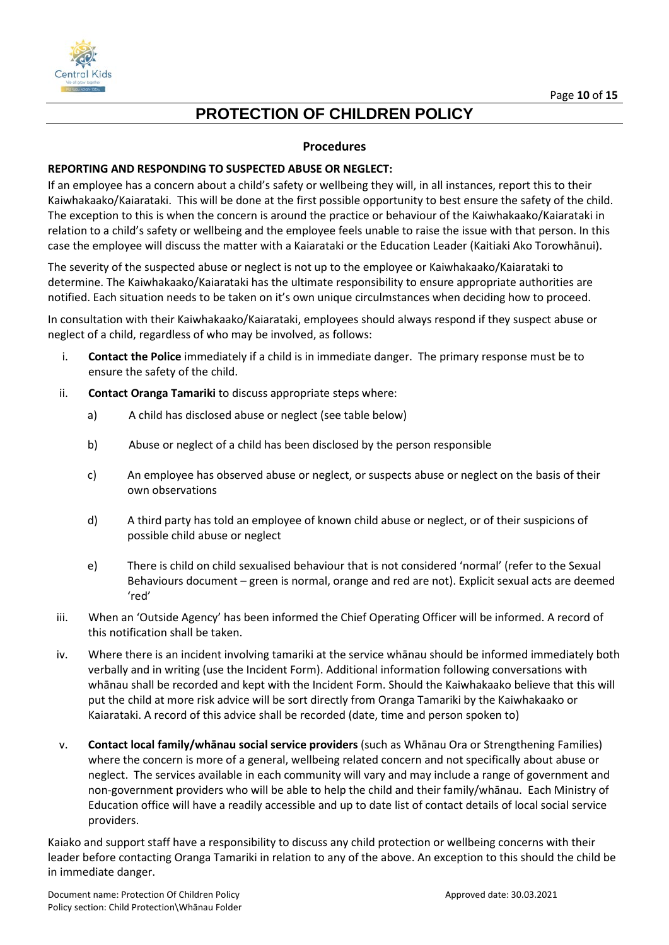



#### **Procedures**

#### **REPORTING AND RESPONDING TO SUSPECTED ABUSE OR NEGLECT:**

If an employee has a concern about a child's safety or wellbeing they will, in all instances, report this to their Kaiwhakaako/Kaiarataki. This will be done at the first possible opportunity to best ensure the safety of the child. The exception to this is when the concern is around the practice or behaviour of the Kaiwhakaako/Kaiarataki in relation to a child's safety or wellbeing and the employee feels unable to raise the issue with that person. In this case the employee will discuss the matter with a Kaiarataki or the Education Leader (Kaitiaki Ako Torowhānui).

The severity of the suspected abuse or neglect is not up to the employee or Kaiwhakaako/Kaiarataki to determine. The Kaiwhakaako/Kaiarataki has the ultimate responsibility to ensure appropriate authorities are notified. Each situation needs to be taken on it's own unique circulmstances when deciding how to proceed.

In consultation with their Kaiwhakaako/Kaiarataki, employees should always respond if they suspect abuse or neglect of a child, regardless of who may be involved, as follows:

- i. **Contact the Police** immediately if a child is in immediate danger. The primary response must be to ensure the safety of the child.
- ii. **Contact Oranga Tamariki** to discuss appropriate steps where:
	- a) A child has disclosed abuse or neglect (see table below)
	- b) Abuse or neglect of a child has been disclosed by the person responsible
	- c) An employee has observed abuse or neglect, or suspects abuse or neglect on the basis of their own observations
	- d) A third party has told an employee of known child abuse or neglect, or of their suspicions of possible child abuse or neglect
	- e) There is child on child sexualised behaviour that is not considered 'normal' (refer to the Sexual Behaviours document – green is normal, orange and red are not). Explicit sexual acts are deemed 'red'
- iii. When an 'Outside Agency' has been informed the Chief Operating Officer will be informed. A record of this notification shall be taken.
- iv. Where there is an incident involving tamariki at the service whānau should be informed immediately both verbally and in writing (use the Incident Form). Additional information following conversations with whānau shall be recorded and kept with the Incident Form. Should the Kaiwhakaako believe that this will put the child at more risk advice will be sort directly from Oranga Tamariki by the Kaiwhakaako or Kaiarataki. A record of this advice shall be recorded (date, time and person spoken to)
- v. **Contact local family/whānau social service providers** (such as Whānau Ora or Strengthening Families) where the concern is more of a general, wellbeing related concern and not specifically about abuse or neglect. The services available in each community will vary and may include a range of government and non-government providers who will be able to help the child and their family/whānau. Each Ministry of Education office will have a readily accessible and up to date list of contact details of local social service providers.

Kaiako and support staff have a responsibility to discuss any child protection or wellbeing concerns with their leader before contacting Oranga Tamariki in relation to any of the above. An exception to this should the child be in immediate danger.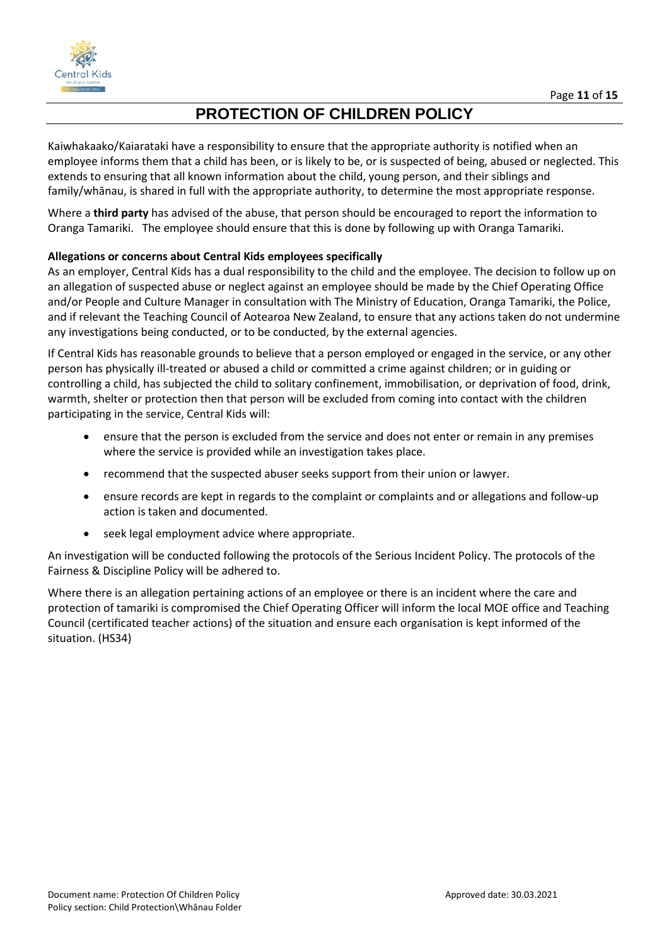

Kaiwhakaako/Kaiarataki have a responsibility to ensure that the appropriate authority is notified when an employee informs them that a child has been, or is likely to be, or is suspected of being, abused or neglected. This extends to ensuring that all known information about the child, young person, and their siblings and family/whānau, is shared in full with the appropriate authority, to determine the most appropriate response.

Where a **third party** has advised of the abuse, that person should be encouraged to report the information to Oranga Tamariki. The employee should ensure that this is done by following up with Oranga Tamariki.

#### **Allegations or concerns about Central Kids employees specifically**

As an employer, Central Kids has a dual responsibility to the child and the employee. The decision to follow up on an allegation of suspected abuse or neglect against an employee should be made by the Chief Operating Office and/or People and Culture Manager in consultation with The Ministry of Education, Oranga Tamariki, the Police, and if relevant the Teaching Council of Aotearoa New Zealand, to ensure that any actions taken do not undermine any investigations being conducted, or to be conducted, by the external agencies.

If Central Kids has reasonable grounds to believe that a person employed or engaged in the service, or any other person has physically ill-treated or abused a child or committed a crime against children; or in guiding or controlling a child, has subjected the child to solitary confinement, immobilisation, or deprivation of food, drink, warmth, shelter or protection then that person will be excluded from coming into contact with the children participating in the service, Central Kids will:

- ensure that the person is excluded from the service and does not enter or remain in any premises where the service is provided while an investigation takes place.
- recommend that the suspected abuser seeks support from their union or lawyer.
- ensure records are kept in regards to the complaint or complaints and or allegations and follow-up action is taken and documented.
- seek legal employment advice where appropriate.

An investigation will be conducted following the protocols of the Serious Incident Policy. The protocols of the Fairness & Discipline Policy will be adhered to.

Where there is an allegation pertaining actions of an employee or there is an incident where the care and protection of tamariki is compromised the Chief Operating Officer will inform the local MOE office and Teaching Council (certificated teacher actions) of the situation and ensure each organisation is kept informed of the situation. (HS34)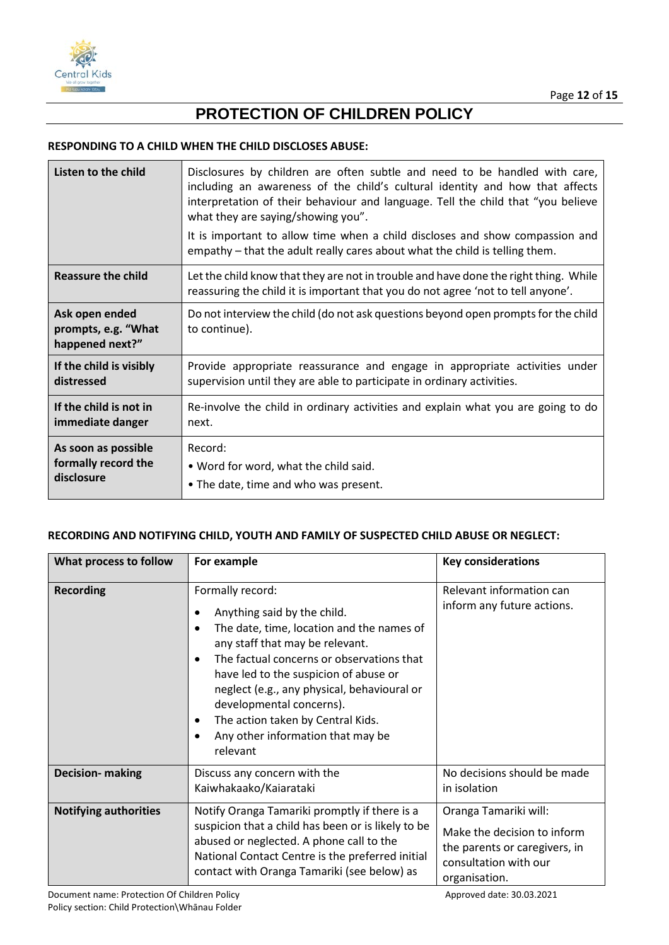

#### **RESPONDING TO A CHILD WHEN THE CHILD DISCLOSES ABUSE:**

| Listen to the child<br>Disclosures by children are often subtle and need to be handled with care,<br>including an awareness of the child's cultural identity and how that affects<br>interpretation of their behaviour and language. Tell the child that "you believe<br>what they are saying/showing you".<br>It is important to allow time when a child discloses and show compassion and<br>empathy - that the adult really cares about what the child is telling them. |                                                                                                                                                                          |
|----------------------------------------------------------------------------------------------------------------------------------------------------------------------------------------------------------------------------------------------------------------------------------------------------------------------------------------------------------------------------------------------------------------------------------------------------------------------------|--------------------------------------------------------------------------------------------------------------------------------------------------------------------------|
| <b>Reassure the child</b>                                                                                                                                                                                                                                                                                                                                                                                                                                                  | Let the child know that they are not in trouble and have done the right thing. While<br>reassuring the child it is important that you do not agree 'not to tell anyone'. |
| Ask open ended<br>prompts, e.g. "What<br>happened next?"                                                                                                                                                                                                                                                                                                                                                                                                                   | Do not interview the child (do not ask questions beyond open prompts for the child<br>to continue).                                                                      |
| If the child is visibly                                                                                                                                                                                                                                                                                                                                                                                                                                                    | Provide appropriate reassurance and engage in appropriate activities under                                                                                               |
| distressed                                                                                                                                                                                                                                                                                                                                                                                                                                                                 | supervision until they are able to participate in ordinary activities.                                                                                                   |
| If the child is not in                                                                                                                                                                                                                                                                                                                                                                                                                                                     | Re-involve the child in ordinary activities and explain what you are going to do                                                                                         |
| immediate danger                                                                                                                                                                                                                                                                                                                                                                                                                                                           | next.                                                                                                                                                                    |
| As soon as possible                                                                                                                                                                                                                                                                                                                                                                                                                                                        | Record:                                                                                                                                                                  |
| formally record the                                                                                                                                                                                                                                                                                                                                                                                                                                                        | . Word for word, what the child said.                                                                                                                                    |
| disclosure                                                                                                                                                                                                                                                                                                                                                                                                                                                                 | • The date, time and who was present.                                                                                                                                    |

#### **RECORDING AND NOTIFYING CHILD, YOUTH AND FAMILY OF SUSPECTED CHILD ABUSE OR NEGLECT:**

| What process to follow       | For example                                                                                                                                                                                                                                                                                                                                                                                                      | <b>Key considerations</b>                                                                                                       |
|------------------------------|------------------------------------------------------------------------------------------------------------------------------------------------------------------------------------------------------------------------------------------------------------------------------------------------------------------------------------------------------------------------------------------------------------------|---------------------------------------------------------------------------------------------------------------------------------|
| <b>Recording</b>             | Formally record:<br>Anything said by the child.<br>The date, time, location and the names of<br>any staff that may be relevant.<br>The factual concerns or observations that<br>$\bullet$<br>have led to the suspicion of abuse or<br>neglect (e.g., any physical, behavioural or<br>developmental concerns).<br>The action taken by Central Kids.<br>$\bullet$<br>Any other information that may be<br>relevant | Relevant information can<br>inform any future actions.                                                                          |
| <b>Decision- making</b>      | Discuss any concern with the<br>Kaiwhakaako/Kaiarataki                                                                                                                                                                                                                                                                                                                                                           | No decisions should be made<br>in isolation                                                                                     |
| <b>Notifying authorities</b> | Notify Oranga Tamariki promptly if there is a<br>suspicion that a child has been or is likely to be<br>abused or neglected. A phone call to the<br>National Contact Centre is the preferred initial<br>contact with Oranga Tamariki (see below) as                                                                                                                                                               | Oranga Tamariki will:<br>Make the decision to inform<br>the parents or caregivers, in<br>consultation with our<br>organisation. |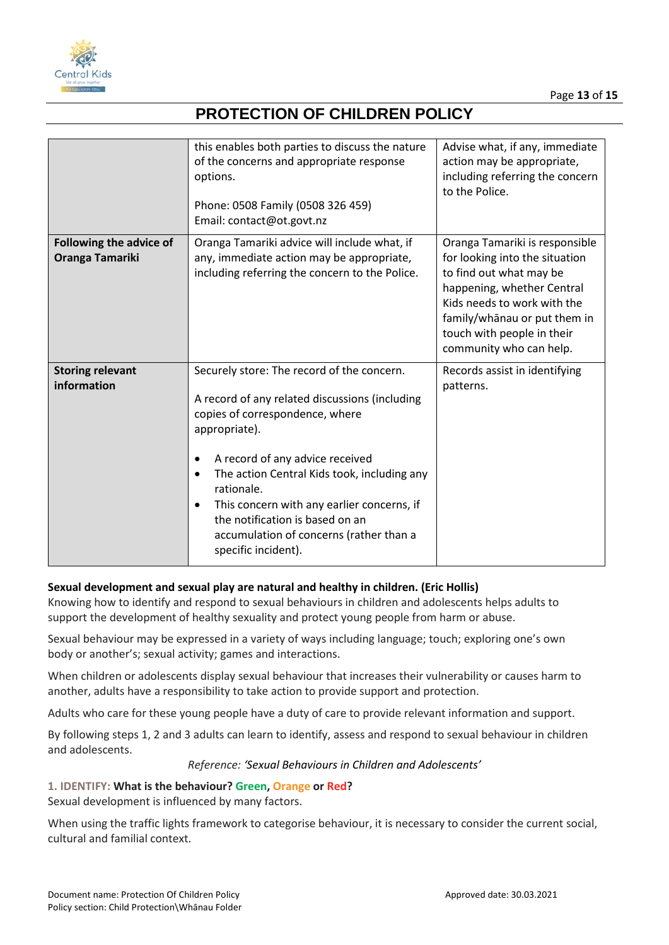

|                                                   | this enables both parties to discuss the nature<br>of the concerns and appropriate response<br>options.<br>Phone: 0508 Family (0508 326 459)<br>Email: contact@ot.govt.nz                                                                                                                                                                                                                                                                  | Advise what, if any, immediate<br>action may be appropriate,<br>including referring the concern<br>to the Police.                                                                                                                                 |
|---------------------------------------------------|--------------------------------------------------------------------------------------------------------------------------------------------------------------------------------------------------------------------------------------------------------------------------------------------------------------------------------------------------------------------------------------------------------------------------------------------|---------------------------------------------------------------------------------------------------------------------------------------------------------------------------------------------------------------------------------------------------|
| <b>Following the advice of</b><br>Oranga Tamariki | Oranga Tamariki advice will include what, if<br>any, immediate action may be appropriate,<br>including referring the concern to the Police.                                                                                                                                                                                                                                                                                                | Oranga Tamariki is responsible<br>for looking into the situation<br>to find out what may be<br>happening, whether Central<br>Kids needs to work with the<br>family/whanau or put them in<br>touch with people in their<br>community who can help. |
| <b>Storing relevant</b><br>information            | Securely store: The record of the concern.<br>A record of any related discussions (including<br>copies of correspondence, where<br>appropriate).<br>A record of any advice received<br>$\bullet$<br>The action Central Kids took, including any<br>$\bullet$<br>rationale.<br>This concern with any earlier concerns, if<br>$\bullet$<br>the notification is based on an<br>accumulation of concerns (rather than a<br>specific incident). | Records assist in identifying<br>patterns.                                                                                                                                                                                                        |

#### **Sexual development and sexual play are natural and healthy in children. (Eric Hollis)**

Knowing how to identify and respond to sexual behaviours in children and adolescents helps adults to support the development of healthy sexuality and protect young people from harm or abuse.

Sexual behaviour may be expressed in a variety of ways including language; touch; exploring one's own body or another's; sexual activity; games and interactions.

When children or adolescents display sexual behaviour that increases their vulnerability or causes harm to another, adults have a responsibility to take action to provide support and protection.

Adults who care for these young people have a duty of care to provide relevant information and support.

By following steps 1, 2 and 3 adults can learn to identify, assess and respond to sexual behaviour in children and adolescents.

#### *Reference: 'Sexual Behaviours in Children and Adolescents'*

### **1. IDENTIFY: What is the behaviour? Green, Orange or Red?**

Sexual development is influenced by many factors.

When using the traffic lights framework to categorise behaviour, it is necessary to consider the current social, cultural and familial context.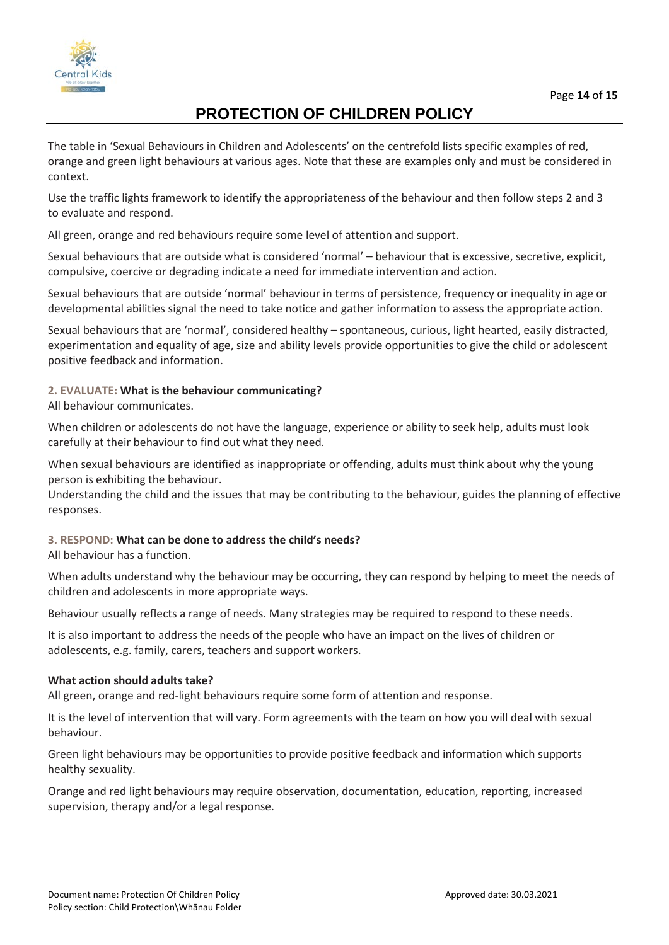

The table in 'Sexual Behaviours in Children and Adolescents' on the centrefold lists specific examples of red, orange and green light behaviours at various ages. Note that these are examples only and must be considered in context.

Use the traffic lights framework to identify the appropriateness of the behaviour and then follow steps 2 and 3 to evaluate and respond.

All green, orange and red behaviours require some level of attention and support.

Sexual behaviours that are outside what is considered 'normal' – behaviour that is excessive, secretive, explicit, compulsive, coercive or degrading indicate a need for immediate intervention and action.

Sexual behaviours that are outside 'normal' behaviour in terms of persistence, frequency or inequality in age or developmental abilities signal the need to take notice and gather information to assess the appropriate action.

Sexual behaviours that are 'normal', considered healthy – spontaneous, curious, light hearted, easily distracted, experimentation and equality of age, size and ability levels provide opportunities to give the child or adolescent positive feedback and information.

#### **2. EVALUATE: What is the behaviour communicating?**

All behaviour communicates.

When children or adolescents do not have the language, experience or ability to seek help, adults must look carefully at their behaviour to find out what they need.

When sexual behaviours are identified as inappropriate or offending, adults must think about why the young person is exhibiting the behaviour.

Understanding the child and the issues that may be contributing to the behaviour, guides the planning of effective responses.

#### **3. RESPOND: What can be done to address the child's needs?**

All behaviour has a function.

When adults understand why the behaviour may be occurring, they can respond by helping to meet the needs of children and adolescents in more appropriate ways.

Behaviour usually reflects a range of needs. Many strategies may be required to respond to these needs.

It is also important to address the needs of the people who have an impact on the lives of children or adolescents, e.g. family, carers, teachers and support workers.

#### **What action should adults take?**

All green, orange and red-light behaviours require some form of attention and response.

It is the level of intervention that will vary. Form agreements with the team on how you will deal with sexual behaviour.

Green light behaviours may be opportunities to provide positive feedback and information which supports healthy sexuality.

Orange and red light behaviours may require observation, documentation, education, reporting, increased supervision, therapy and/or a legal response.